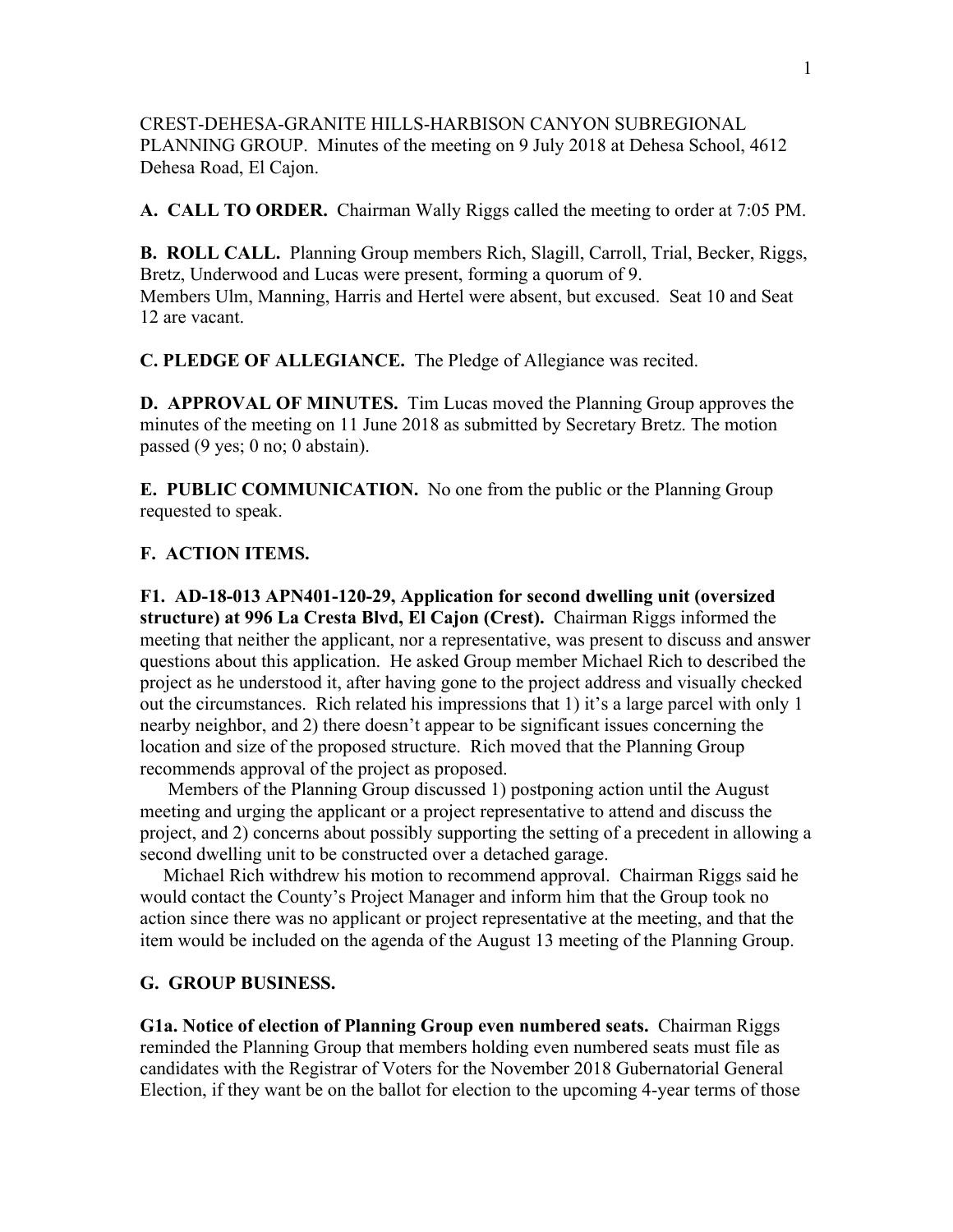CREST-DEHESA-GRANITE HILLS-HARBISON CANYON SUBREGIONAL PLANNING GROUP. Minutes of the meeting on 9 July 2018 at Dehesa School, 4612 Dehesa Road, El Cajon.

**A. CALL TO ORDER.** Chairman Wally Riggs called the meeting to order at 7:05 PM.

**B. ROLL CALL.** Planning Group members Rich, Slagill, Carroll, Trial, Becker, Riggs, Bretz, Underwood and Lucas were present, forming a quorum of 9. Members Ulm, Manning, Harris and Hertel were absent, but excused. Seat 10 and Seat 12 are vacant.

**C. PLEDGE OF ALLEGIANCE.** The Pledge of Allegiance was recited.

**D. APPROVAL OF MINUTES.** Tim Lucas moved the Planning Group approves the minutes of the meeting on 11 June 2018 as submitted by Secretary Bretz. The motion passed (9 yes; 0 no; 0 abstain).

**E. PUBLIC COMMUNICATION.** No one from the public or the Planning Group requested to speak.

## **F. ACTION ITEMS.**

**F1. AD-18-013 APN401-120-29, Application for second dwelling unit (oversized structure) at 996 La Cresta Blvd, El Cajon (Crest).** Chairman Riggs informed the meeting that neither the applicant, nor a representative, was present to discuss and answer questions about this application. He asked Group member Michael Rich to described the project as he understood it, after having gone to the project address and visually checked out the circumstances. Rich related his impressions that 1) it's a large parcel with only 1 nearby neighbor, and 2) there doesn't appear to be significant issues concerning the location and size of the proposed structure. Rich moved that the Planning Group recommends approval of the project as proposed.

 Members of the Planning Group discussed 1) postponing action until the August meeting and urging the applicant or a project representative to attend and discuss the project, and 2) concerns about possibly supporting the setting of a precedent in allowing a second dwelling unit to be constructed over a detached garage.

 Michael Rich withdrew his motion to recommend approval. Chairman Riggs said he would contact the County's Project Manager and inform him that the Group took no action since there was no applicant or project representative at the meeting, and that the item would be included on the agenda of the August 13 meeting of the Planning Group.

## **G. GROUP BUSINESS.**

**G1a. Notice of election of Planning Group even numbered seats.** Chairman Riggs reminded the Planning Group that members holding even numbered seats must file as candidates with the Registrar of Voters for the November 2018 Gubernatorial General Election, if they want be on the ballot for election to the upcoming 4-year terms of those